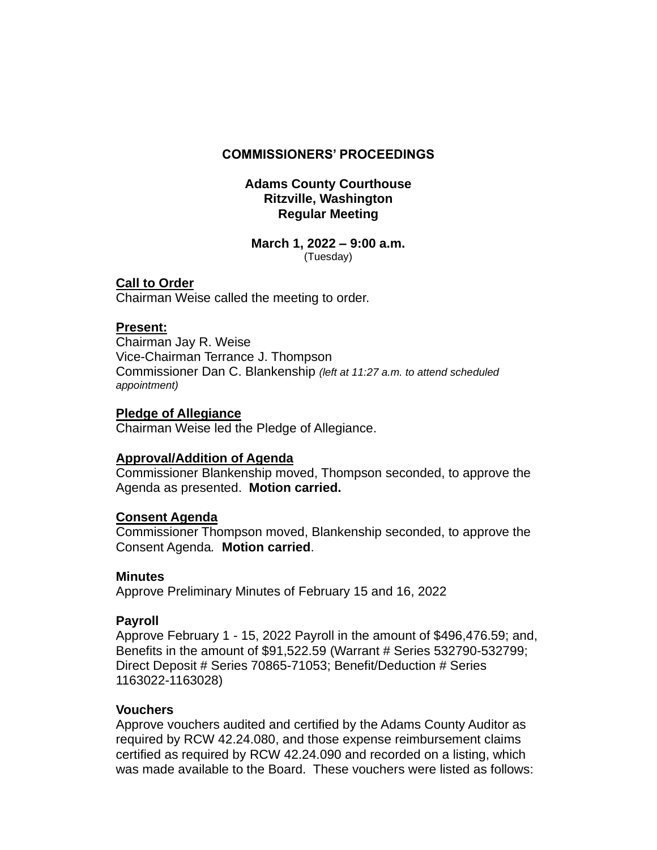#### **COMMISSIONERS' PROCEEDINGS**

#### **Adams County Courthouse Ritzville, Washington Regular Meeting**

# **March 1, 2022 – 9:00 a.m.**

(Tuesday)

# **Call to Order**

Chairman Weise called the meeting to order.

#### **Present:**

Chairman Jay R. Weise Vice-Chairman Terrance J. Thompson Commissioner Dan C. Blankenship *(left at 11:27 a.m. to attend scheduled appointment)*

#### **Pledge of Allegiance**

Chairman Weise led the Pledge of Allegiance.

# **Approval/Addition of Agenda**

Commissioner Blankenship moved, Thompson seconded, to approve the Agenda as presented. **Motion carried.**

# **Consent Agenda**

Commissioner Thompson moved, Blankenship seconded, to approve the Consent Agenda*.* **Motion carried**.

#### **Minutes**

Approve Preliminary Minutes of February 15 and 16, 2022

# **Payroll**

Approve February 1 - 15, 2022 Payroll in the amount of \$496,476.59; and, Benefits in the amount of \$91,522.59 (Warrant # Series 532790-532799; Direct Deposit # Series 70865-71053; Benefit/Deduction # Series 1163022-1163028)

#### **Vouchers**

Approve vouchers audited and certified by the Adams County Auditor as required by RCW 42.24.080, and those expense reimbursement claims certified as required by RCW 42.24.090 and recorded on a listing, which was made available to the Board. These vouchers were listed as follows: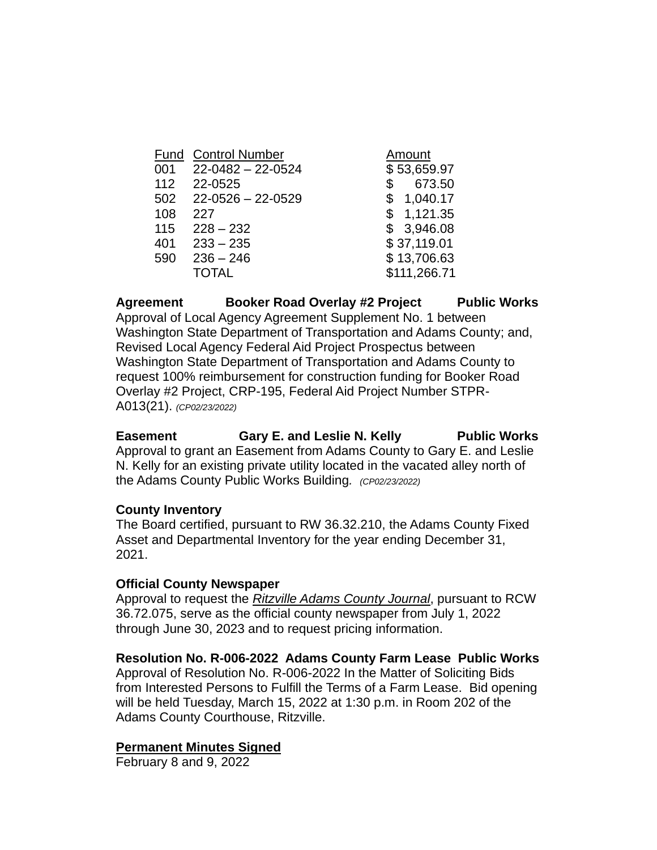| <b>Fund Control Number</b> | Amount       |
|----------------------------|--------------|
| $22 - 0482 - 22 - 0524$    | \$53,659.97  |
| 22-0525                    | 673.50<br>\$ |
| $22 - 0526 - 22 - 0529$    | \$1,040.17   |
| 227                        | \$1,121.35   |
| $228 - 232$                | \$3,946.08   |
| $233 - 235$                | \$37,119.01  |
| $236 - 246$                | \$13,706.63  |
| <b>TOTAL</b>               | \$111,266.71 |
|                            |              |

**Agreement Booker Road Overlay #2 Project Public Works** Approval of Local Agency Agreement Supplement No. 1 between Washington State Department of Transportation and Adams County; and, Revised Local Agency Federal Aid Project Prospectus between Washington State Department of Transportation and Adams County to request 100% reimbursement for construction funding for Booker Road Overlay #2 Project, CRP-195, Federal Aid Project Number STPR-A013(21). *(CP02/23/2022)*

Easement **Gary E. and Leslie N. Kelly** Public Works Approval to grant an Easement from Adams County to Gary E. and Leslie N. Kelly for an existing private utility located in the vacated alley north of the Adams County Public Works Building*. (CP02/23/2022)*

# **County Inventory**

The Board certified, pursuant to RW 36.32.210, the Adams County Fixed Asset and Departmental Inventory for the year ending December 31, 2021.

# **Official County Newspaper**

Approval to request the *Ritzville Adams County Journal*, pursuant to RCW 36.72.075, serve as the official county newspaper from July 1, 2022 through June 30, 2023 and to request pricing information.

# **Resolution No. R-006-2022 Adams County Farm Lease Public Works**

Approval of Resolution No. R-006-2022 In the Matter of Soliciting Bids from Interested Persons to Fulfill the Terms of a Farm Lease. Bid opening will be held Tuesday, March 15, 2022 at 1:30 p.m. in Room 202 of the Adams County Courthouse, Ritzville.

#### **Permanent Minutes Signed**

February 8 and 9, 2022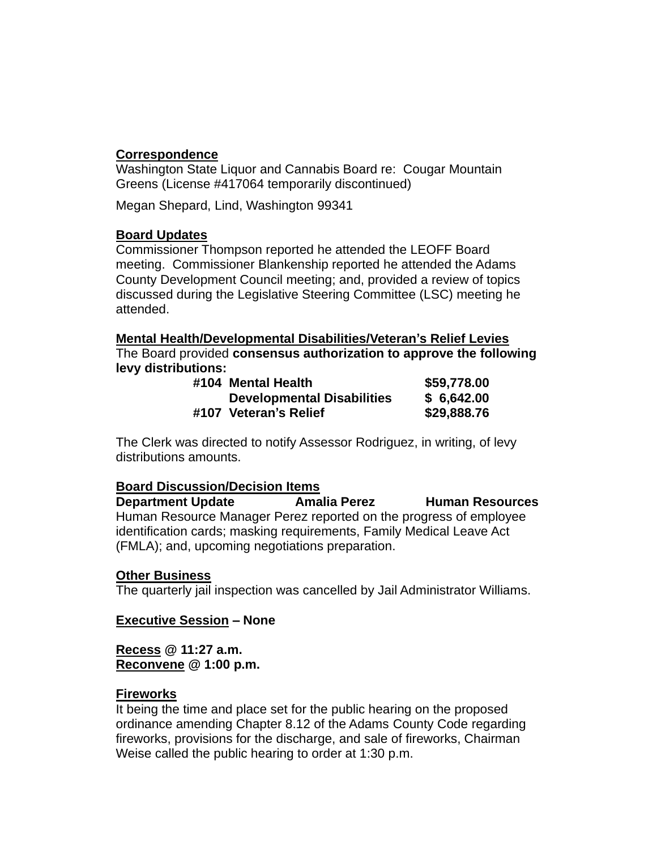# **Correspondence**

Washington State Liquor and Cannabis Board re: Cougar Mountain Greens (License #417064 temporarily discontinued)

Megan Shepard, Lind, Washington 99341

# **Board Updates**

Commissioner Thompson reported he attended the LEOFF Board meeting. Commissioner Blankenship reported he attended the Adams County Development Council meeting; and, provided a review of topics discussed during the Legislative Steering Committee (LSC) meeting he attended.

**Mental Health/Developmental Disabilities/Veteran's Relief Levies** The Board provided **consensus authorization to approve the following levy distributions:**

| #104 Mental Health                | \$59,778.00 |
|-----------------------------------|-------------|
| <b>Developmental Disabilities</b> | \$6,642.00  |
| #107 Veteran's Relief             | \$29,888.76 |

The Clerk was directed to notify Assessor Rodriguez, in writing, of levy distributions amounts.

# **Board Discussion/Decision Items**

**Department Update Amalia Perez Human Resources** Human Resource Manager Perez reported on the progress of employee identification cards; masking requirements, Family Medical Leave Act (FMLA); and, upcoming negotiations preparation.

# **Other Business**

The quarterly jail inspection was cancelled by Jail Administrator Williams.

# **Executive Session – None**

**Recess @ 11:27 a.m. Reconvene @ 1:00 p.m.**

# **Fireworks**

It being the time and place set for the public hearing on the proposed ordinance amending Chapter 8.12 of the Adams County Code regarding fireworks, provisions for the discharge, and sale of fireworks, Chairman Weise called the public hearing to order at 1:30 p.m.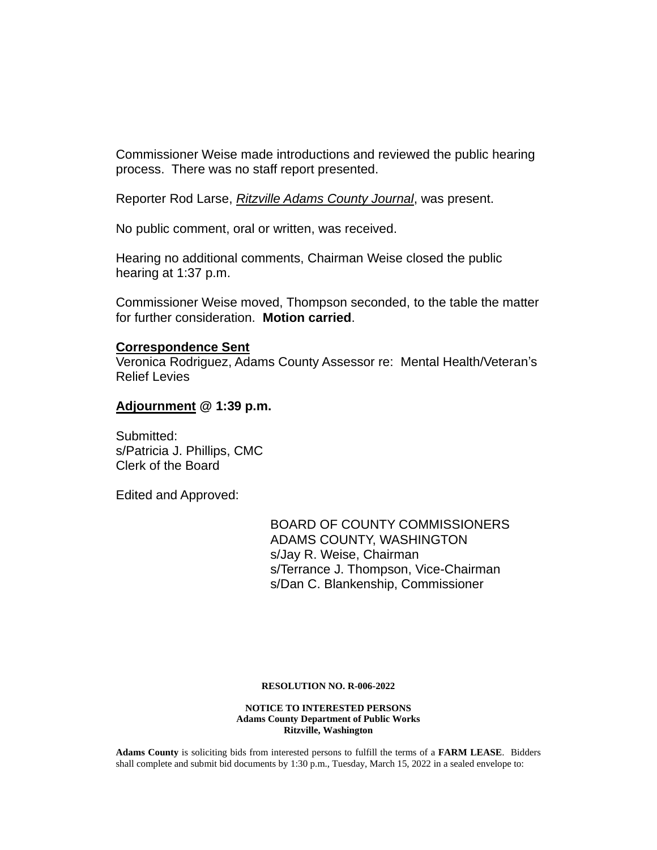Commissioner Weise made introductions and reviewed the public hearing process. There was no staff report presented.

Reporter Rod Larse, *Ritzville Adams County Journal*, was present.

No public comment, oral or written, was received.

Hearing no additional comments, Chairman Weise closed the public hearing at 1:37 p.m.

Commissioner Weise moved, Thompson seconded, to the table the matter for further consideration. **Motion carried**.

#### **Correspondence Sent**

Veronica Rodriguez, Adams County Assessor re: Mental Health/Veteran's Relief Levies

#### **Adjournment @ 1:39 p.m.**

Submitted: s/Patricia J. Phillips, CMC Clerk of the Board

Edited and Approved:

BOARD OF COUNTY COMMISSIONERS ADAMS COUNTY, WASHINGTON s/Jay R. Weise, Chairman s/Terrance J. Thompson, Vice-Chairman s/Dan C. Blankenship, Commissioner

#### **RESOLUTION NO. R-006-2022**

**NOTICE TO INTERESTED PERSONS Adams County Department of Public Works Ritzville, Washington**

**Adams County** is soliciting bids from interested persons to fulfill the terms of a **FARM LEASE**. Bidders shall complete and submit bid documents by 1:30 p.m., Tuesday, March 15, 2022 in a sealed envelope to: